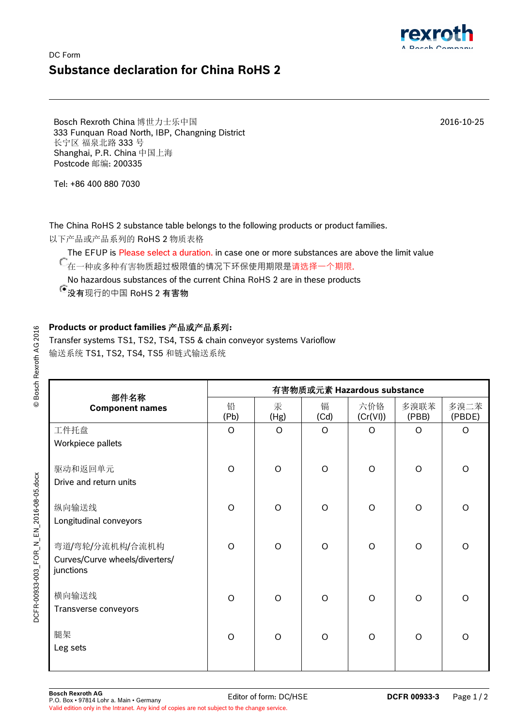## DC Form **Substance declaration for China RoHS 2**

Bosch Rexroth China 博世力士乐中国 333 Funquan Road North, IBP, Changning District 长宁区 福泉北路 333 号 Shanghai, P.R. China 中国上海 Postcode 邮编: 200335

Tel: +86 400 880 7030

The China RoHS 2 substance table belongs to the following products or product families.

以下产品或产品系列的 RoHS 2 物质表格

The EFUP is Please select a duration. in case one or more substances are above the limit value

← .... - - .<br>● 在一种或多种有害物质超过极限值的情况下环保使用期限是<mark>请选</mark>择一个期限.

No hazardous substances of the current China RoHS 2 are in these products

没有现行的中国 RoHS 2 有害物

## **Products or product families** 产品或产品系列**:**

Transfer systems TS1, TS2, TS4, TS5 & chain conveyor systems Varioflow 输送系统 TS1, TS2, TS4, TS5 和链式输送系统

| 部件名称<br><b>Component names</b> | 有害物质或元素 Hazardous substance |           |           |                 |               |                |  |  |
|--------------------------------|-----------------------------|-----------|-----------|-----------------|---------------|----------------|--|--|
|                                | 铅<br>(Pb)                   | 汞<br>(Hg) | 镉<br>(Cd) | 六价铬<br>(Cr(VI)) | 多溴联苯<br>(PBB) | 多溴二苯<br>(PBDE) |  |  |
| 工件托盘                           | $\circ$                     | O         | $\circ$   | $\Omega$        | $\circ$       | $\circ$        |  |  |
| Workpiece pallets              |                             |           |           |                 |               |                |  |  |
| 驱动和返回单元                        | $\Omega$                    | $\Omega$  | $\Omega$  | $\Omega$        | $\circ$       | $\circ$        |  |  |
| Drive and return units         |                             |           |           |                 |               |                |  |  |
| 纵向输送线                          | $\Omega$                    | $\Omega$  | $\Omega$  | $\Omega$        | $\Omega$      | $\circ$        |  |  |
| Longitudinal conveyors         |                             |           |           |                 |               |                |  |  |
| 弯道/弯轮/分流机构/合流机构                | $\Omega$                    | $\Omega$  | $\Omega$  | $\Omega$        | $\circ$       | $\circ$        |  |  |
| Curves/Curve wheels/diverters/ |                             |           |           |                 |               |                |  |  |
| junctions                      |                             |           |           |                 |               |                |  |  |
| 横向输送线                          | $\Omega$                    | $\Omega$  | $\Omega$  | $\Omega$        | $\circ$       | $\circ$        |  |  |
| Transverse conveyors           |                             |           |           |                 |               |                |  |  |
| 腿架                             | $\circ$                     | $\circ$   | $\circ$   | $\Omega$        | $\circ$       | $\circ$        |  |  |
| Leg sets                       |                             |           |           |                 |               |                |  |  |
|                                |                             |           |           |                 |               |                |  |  |

© Bosch Rexroth AG 2016 © Bosch Rexroth AG 2016 2016-10-25